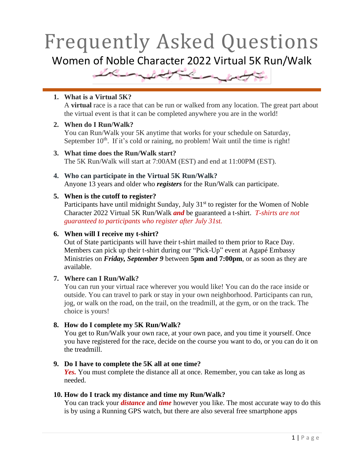## Frequently Asked Questions Women of Noble Character 2022 Virtual 5K Run/Walk



## **1. What is a Virtual 5K?**

A **virtual** race is a race that can be run or walked from any location. The great part about the virtual event is that it can be completed anywhere you are in the world!

## **2. When do I Run/Walk?**

You can Run/Walk your 5K anytime that works for your schedule on Saturday, September  $10<sup>th</sup>$ . If it's cold or raining, no problem! Wait until the time is right!

- **3. What time does the Run/Walk start?** The 5K Run/Walk will start at 7:00AM (EST) and end at 11:00PM (EST).
- **4. Who can participate in the Virtual 5K Run/Walk?** Anyone 13 years and older who *registers* for the Run/Walk can participate.

## **5. When is the cutoff to register?**

Participants have until midnight Sunday, July  $31<sup>st</sup>$  to register for the Women of Noble Character 2022 Virtual 5K Run/Walk *and* be guaranteed a t-shirt. *T-shirts are not guaranteed to participants who register after July 31st.*

## **6. When will I receive my t-shirt?**

Out of State participants will have their t-shirt mailed to them prior to Race Day. Members can pick up their t-shirt during our "Pick-Up" event at Agapé Embassy Ministries on *Friday, September 9* between **5pm and 7:00pm**, or as soon as they are available.

## **7. Where can I Run/Walk?**

You can run your virtual race wherever you would like! You can do the race inside or outside. You can travel to park or stay in your own neighborhood. Participants can run, jog, or walk on the road, on the trail, on the treadmill, at the gym, or on the track. The choice is yours!

## **8. How do I complete my 5K Run/Walk?**

You get to Run/Walk your own race, at your own pace, and you time it yourself. Once you have registered for the race, decide on the course you want to do, or you can do it on the treadmill.

## **9. Do I have to complete the 5K all at one time?**

*Yes.* You must complete the distance all at once. Remember, you can take as long as needed.

## **10. How do I track my distance and time my Run/Walk?**

You can track your *distance* and *time* however you like. The most accurate way to do this is by using a Running GPS watch, but there are also several free smartphone apps